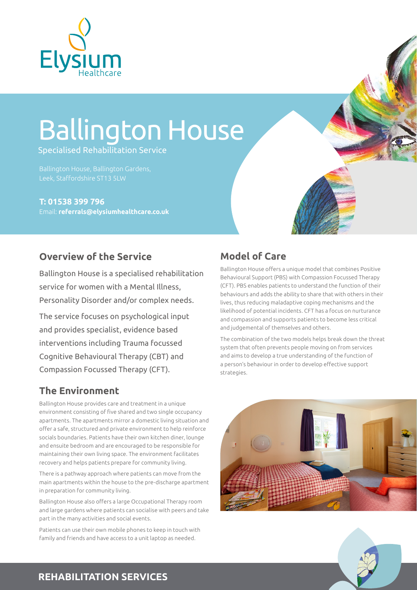

# Ballington House

Specialised Rehabilitation Service

Ballington House, Ballington Gardens, Leek, Staffordshire ST13 5LW

**T: 01538 399 796** Email: **[referrals@elysiumhealthcare.co.uk](mailto:referrals@elysiumhealthcare.co.uk)**

#### **Overview of the Service**

Ballington House is a specialised rehabilitation service for women with a Mental Illness, Personality Disorder and/or complex needs.

The service focuses on psychological input and provides specialist, evidence based interventions including Trauma focussed Cognitive Behavioural Therapy (CBT) and Compassion Focussed Therapy (CFT).

#### **The Environment**

Ballington House provides care and treatment in a unique environment consisting of five shared and two single occupancy apartments. The apartments mirror a domestic living situation and offer a safe, structured and private environment to help reinforce socials boundaries. Patients have their own kitchen diner, lounge and ensuite bedroom and are encouraged to be responsible for maintaining their own living space. The environment facilitates recovery and helps patients prepare for community living.

There is a pathway approach where patients can move from the main apartments within the house to the pre-discharge apartment in preparation for community living.

Ballington House also offers a large Occupational Therapy room and large gardens where patients can socialise with peers and take part in the many activities and social events.

Patients can use their own mobile phones to keep in touch with family and friends and have access to a unit laptop as needed.

## **Model of Care**

Ballington House offers a unique model that combines Positive Behavioural Support (PBS) with Compassion Focussed Therapy (CFT). PBS enables patients to understand the function of their behaviours and adds the ability to share that with others in their lives, thus reducing maladaptive coping mechanisms and the likelihood of potential incidents. CFT has a focus on nurturance and compassion and supports patients to become less critical and judgemental of themselves and others.

The combination of the two models helps break down the threat system that often prevents people moving on from services and aims to develop a true understanding of the function of a person's behaviour in order to develop effective support strategies.





#### **REHABILITATION SERVICES**